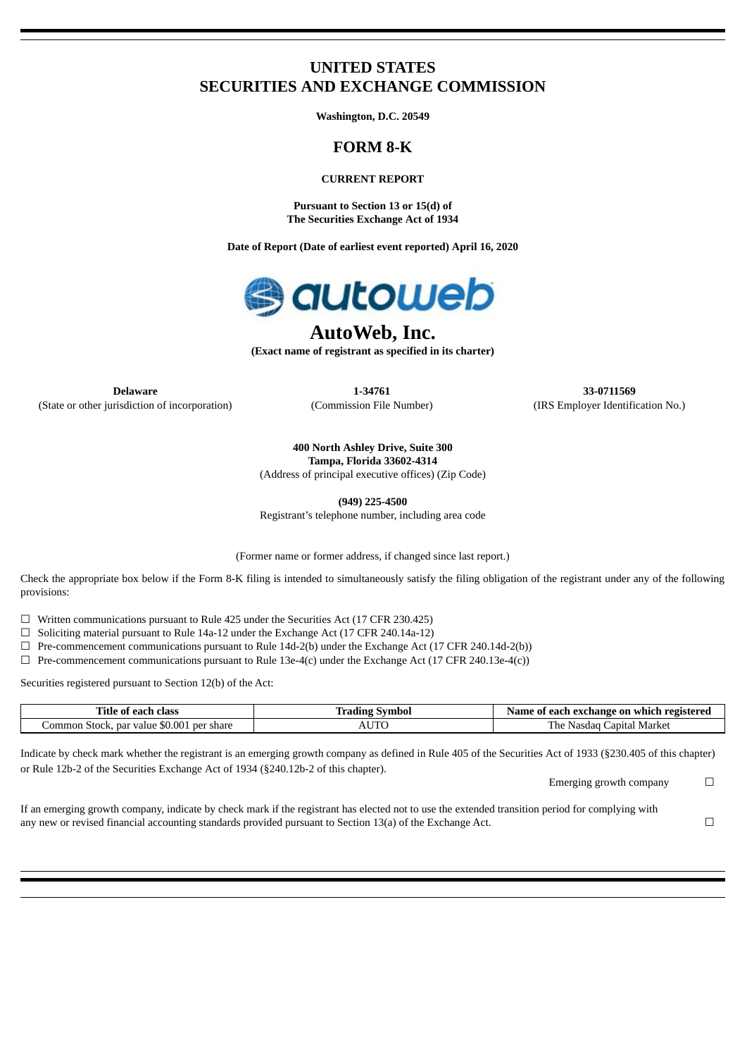# **UNITED STATES SECURITIES AND EXCHANGE COMMISSION**

**Washington, D.C. 20549**

# **FORM 8-K**

## **CURRENT REPORT**

**Pursuant to Section 13 or 15(d) of The Securities Exchange Act of 1934**

**Date of Report (Date of earliest event reported) April 16, 2020**



# **AutoWeb, Inc.**

**(Exact name of registrant as specified in its charter)**

**Delaware 1-34761 33-0711569** (State or other jurisdiction of incorporation) (Commission File Number) (IRS Employer Identification No.)

**400 North Ashley Drive, Suite 300 Tampa, Florida 33602-4314**

(Address of principal executive offices) (Zip Code)

**(949) 225-4500**

Registrant's telephone number, including area code

(Former name or former address, if changed since last report.)

Check the appropriate box below if the Form 8-K filing is intended to simultaneously satisfy the filing obligation of the registrant under any of the following provisions:

 $\Box$  Written communications pursuant to Rule 425 under the Securities Act (17 CFR 230.425)

☐ Soliciting material pursuant to Rule 14a-12 under the Exchange Act (17 CFR 240.14a-12)

 $\Box$  Pre-commencement communications pursuant to Rule 14d-2(b) under the Exchange Act (17 CFR 240.14d-2(b))

 $\Box$  Pre-commencement communications pursuant to Rule 13e-4(c) under the Exchange Act (17 CFR 240.13e-4(c))

Securities registered pursuant to Section 12(b) of the Act:

| class<br>l ìtle<br>eacr<br>0Ť                                    | radınc . | , exchange<br>on<br>registereo<br>Name<br>`each.<br>which<br>- 01 |
|------------------------------------------------------------------|----------|-------------------------------------------------------------------|
| \$0.001<br>`ommon<br>nar<br>. ner<br>share<br>. Stoch<br>' value | ___      | —<br>anıta<br>Markey<br>$n_{\Omega}$<br>lası                      |

Indicate by check mark whether the registrant is an emerging growth company as defined in Rule 405 of the Securities Act of 1933 (§230.405 of this chapter) or Rule 12b-2 of the Securities Exchange Act of 1934 (§240.12b-2 of this chapter).

Emerging growth company  $\Box$ 

If an emerging growth company, indicate by check mark if the registrant has elected not to use the extended transition period for complying with any new or revised financial accounting standards provided pursuant to Section 13(a) of the Exchange Act.  $□$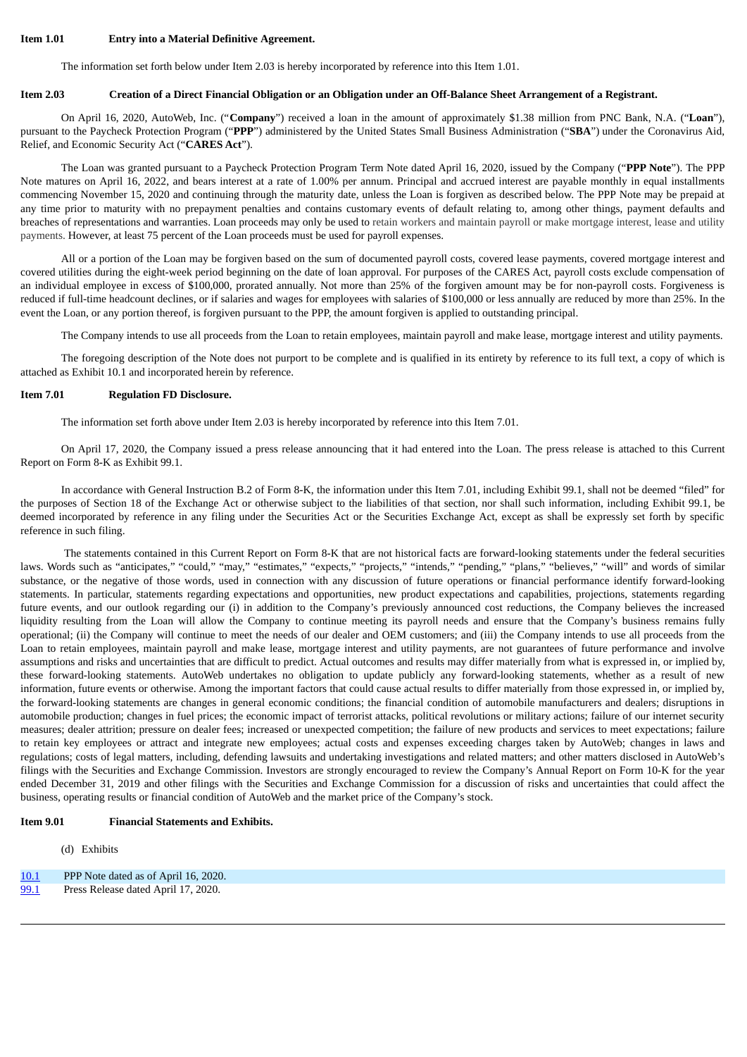### **Item 1.01 Entry into a Material Definitive Agreement.**

The information set forth below under Item 2.03 is hereby incorporated by reference into this Item 1.01.

### **Item 2.03 Creation of a Direct Financial Obligation or an Obligation under an Off-Balance Sheet Arrangement of a Registrant.**

On April 16, 2020, AutoWeb, Inc. ("**Company**") received a loan in the amount of approximately \$1.38 million from PNC Bank, N.A. ("**Loan**"), pursuant to the Paycheck Protection Program ("**PPP**") administered by the United States Small Business Administration ("**SBA**") under the Coronavirus Aid, Relief, and Economic Security Act ("**CARES Act**").

The Loan was granted pursuant to a Paycheck Protection Program Term Note dated April 16, 2020, issued by the Company ("**PPP Note**"). The PPP Note matures on April 16, 2022, and bears interest at a rate of 1.00% per annum. Principal and accrued interest are payable monthly in equal installments commencing November 15, 2020 and continuing through the maturity date, unless the Loan is forgiven as described below. The PPP Note may be prepaid at any time prior to maturity with no prepayment penalties and contains customary events of default relating to, among other things, payment defaults and breaches of representations and warranties. Loan proceeds may only be used to retain workers and maintain payroll or make mortgage interest, lease and utility payments. However, at least 75 percent of the Loan proceeds must be used for payroll expenses.

All or a portion of the Loan may be forgiven based on the sum of documented payroll costs, covered lease payments, covered mortgage interest and covered utilities during the eight-week period beginning on the date of loan approval. For purposes of the CARES Act, payroll costs exclude compensation of an individual employee in excess of \$100,000, prorated annually. Not more than 25% of the forgiven amount may be for non-payroll costs. Forgiveness is reduced if full-time headcount declines, or if salaries and wages for employees with salaries of \$100,000 or less annually are reduced by more than 25%. In the event the Loan, or any portion thereof, is forgiven pursuant to the PPP, the amount forgiven is applied to outstanding principal.

The Company intends to use all proceeds from the Loan to retain employees, maintain payroll and make lease, mortgage interest and utility payments.

The foregoing description of the Note does not purport to be complete and is qualified in its entirety by reference to its full text, a copy of which is attached as Exhibit 10.1 and incorporated herein by reference.

### **Item 7.01 Regulation FD Disclosure.**

The information set forth above under Item 2.03 is hereby incorporated by reference into this Item 7.01.

On April 17, 2020, the Company issued a press release announcing that it had entered into the Loan. The press release is attached to this Current Report on Form 8-K as Exhibit 99.1.

In accordance with General Instruction B.2 of Form 8-K, the information under this Item 7.01, including Exhibit 99.1, shall not be deemed "filed" for the purposes of Section 18 of the Exchange Act or otherwise subject to the liabilities of that section, nor shall such information, including Exhibit 99.1, be deemed incorporated by reference in any filing under the Securities Act or the Securities Exchange Act, except as shall be expressly set forth by specific reference in such filing.

The statements contained in this Current Report on Form 8-K that are not historical facts are forward-looking statements under the federal securities laws. Words such as "anticipates," "could," "may," "estimates," "expects," "projects," "intends," "pending," "plans," "believes," "will" and words of similar substance, or the negative of those words, used in connection with any discussion of future operations or financial performance identify forward-looking statements. In particular, statements regarding expectations and opportunities, new product expectations and capabilities, projections, statements regarding future events, and our outlook regarding our (i) in addition to the Company's previously announced cost reductions, the Company believes the increased liquidity resulting from the Loan will allow the Company to continue meeting its payroll needs and ensure that the Company's business remains fully operational; (ii) the Company will continue to meet the needs of our dealer and OEM customers; and (iii) the Company intends to use all proceeds from the Loan to retain employees, maintain payroll and make lease, mortgage interest and utility payments, are not guarantees of future performance and involve assumptions and risks and uncertainties that are difficult to predict. Actual outcomes and results may differ materially from what is expressed in, or implied by, these forward-looking statements. AutoWeb undertakes no obligation to update publicly any forward-looking statements, whether as a result of new information, future events or otherwise. Among the important factors that could cause actual results to differ materially from those expressed in, or implied by, the forward-looking statements are changes in general economic conditions; the financial condition of automobile manufacturers and dealers; disruptions in automobile production; changes in fuel prices; the economic impact of terrorist attacks, political revolutions or military actions; failure of our internet security measures; dealer attrition; pressure on dealer fees; increased or unexpected competition; the failure of new products and services to meet expectations; failure to retain key employees or attract and integrate new employees; actual costs and expenses exceeding charges taken by AutoWeb; changes in laws and regulations; costs of legal matters, including, defending lawsuits and undertaking investigations and related matters; and other matters disclosed in AutoWeb's filings with the Securities and Exchange Commission. Investors are strongly encouraged to review the Company's Annual Report on Form 10-K for the year ended December 31, 2019 and other filings with the Securities and Exchange Commission for a discussion of risks and uncertainties that could affect the business, operating results or financial condition of AutoWeb and the market price of the Company's stock.

## **Item 9.01 Financial Statements and Exhibits.**

(d) Exhibits

#### [10.1](#page-3-0) PPP Note dated as of April 16, 2020.

[99.1](#page-16-0) Press Release dated April 17, 2020.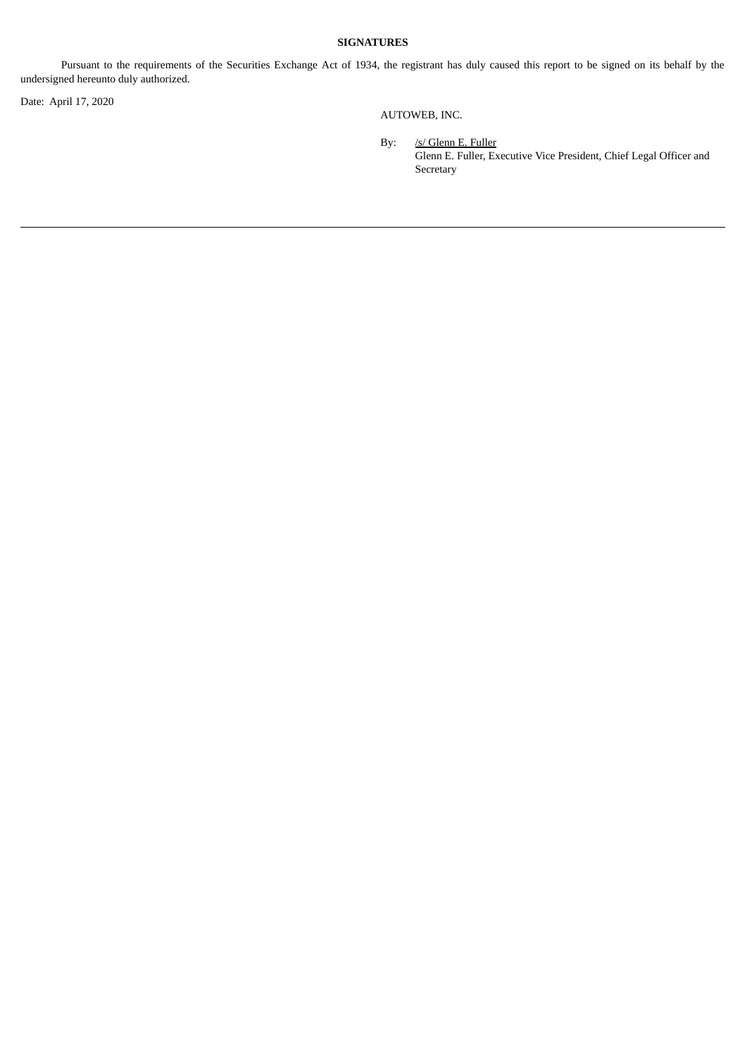# **SIGNATURES**

Pursuant to the requirements of the Securities Exchange Act of 1934, the registrant has duly caused this report to be signed on its behalf by the undersigned hereunto duly authorized.

Date: April 17, 2020

AUTOWEB, INC.

By: /s/ Glenn E. Fuller Glenn E. Fuller, Executive Vice President, Chief Legal Officer and Secretary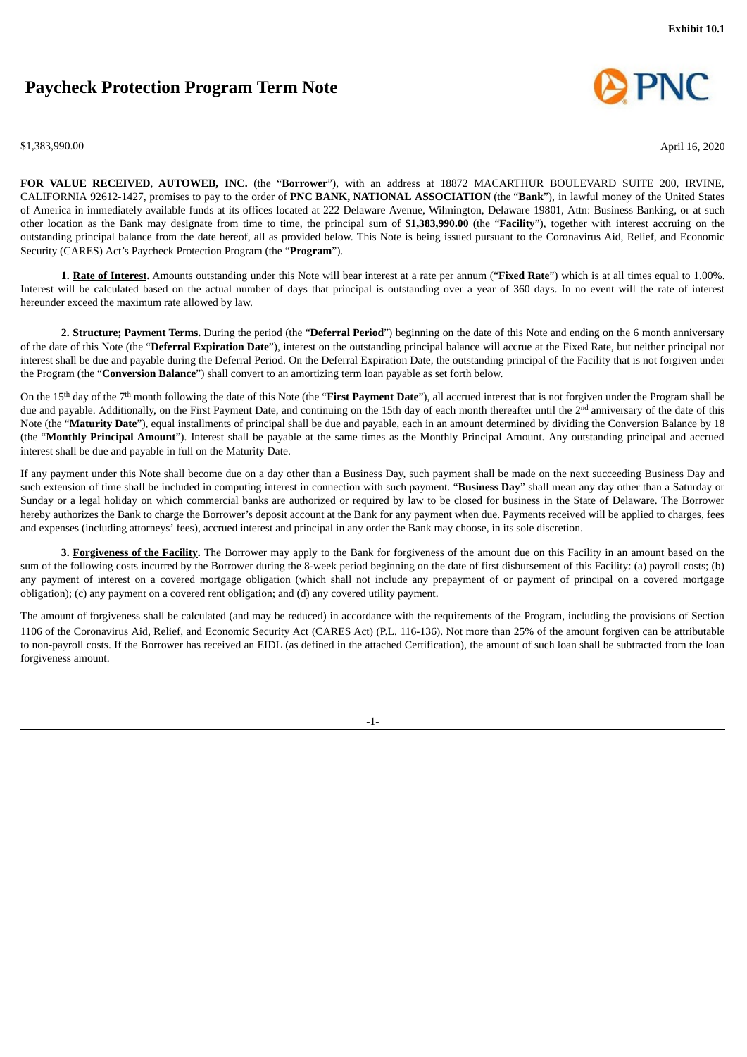# <span id="page-3-0"></span>**Paycheck Protection Program Term Note**





**FOR VALUE RECEIVED**, **AUTOWEB, INC.** (the "**Borrower**"), with an address at 18872 MACARTHUR BOULEVARD SUITE 200, IRVINE, CALIFORNIA 92612-1427, promises to pay to the order of **PNC BANK, NATIONAL ASSOCIATION** (the "**Bank**"), in lawful money of the United States of America in immediately available funds at its offices located at 222 Delaware Avenue, Wilmington, Delaware 19801, Attn: Business Banking, or at such other location as the Bank may designate from time to time, the principal sum of **\$1,383,990.00** (the "**Facility**"), together with interest accruing on the outstanding principal balance from the date hereof, all as provided below. This Note is being issued pursuant to the Coronavirus Aid, Relief, and Economic Security (CARES) Act's Paycheck Protection Program (the "**Program**").

**1. Rate of Interest.** Amounts outstanding under this Note will bear interest at a rate per annum ("**Fixed Rate**") which is at all times equal to 1.00%. Interest will be calculated based on the actual number of days that principal is outstanding over a year of 360 days. In no event will the rate of interest hereunder exceed the maximum rate allowed by law.

**2. Structure; Payment Terms.** During the period (the "**Deferral Period**") beginning on the date of this Note and ending on the 6 month anniversary of the date of this Note (the "**Deferral Expiration Date**"), interest on the outstanding principal balance will accrue at the Fixed Rate, but neither principal nor interest shall be due and payable during the Deferral Period. On the Deferral Expiration Date, the outstanding principal of the Facility that is not forgiven under the Program (the "**Conversion Balance**") shall convert to an amortizing term loan payable as set forth below.

On the 15th day of the 7th month following the date of this Note (the "**First Payment Date**"), all accrued interest that is not forgiven under the Program shall be due and payable. Additionally, on the First Payment Date, and continuing on the 15th day of each month thereafter until the 2<sup>nd</sup> anniversary of the date of this Note (the "**Maturity Date**"), equal installments of principal shall be due and payable, each in an amount determined by dividing the Conversion Balance by 18 (the "**Monthly Principal Amount**"). Interest shall be payable at the same times as the Monthly Principal Amount. Any outstanding principal and accrued interest shall be due and payable in full on the Maturity Date.

If any payment under this Note shall become due on a day other than a Business Day, such payment shall be made on the next succeeding Business Day and such extension of time shall be included in computing interest in connection with such payment. "**Business Day**" shall mean any day other than a Saturday or Sunday or a legal holiday on which commercial banks are authorized or required by law to be closed for business in the State of Delaware. The Borrower hereby authorizes the Bank to charge the Borrower's deposit account at the Bank for any payment when due. Payments received will be applied to charges, fees and expenses (including attorneys' fees), accrued interest and principal in any order the Bank may choose, in its sole discretion.

**3. Forgiveness of the Facility.** The Borrower may apply to the Bank for forgiveness of the amount due on this Facility in an amount based on the sum of the following costs incurred by the Borrower during the 8-week period beginning on the date of first disbursement of this Facility: (a) payroll costs; (b) any payment of interest on a covered mortgage obligation (which shall not include any prepayment of or payment of principal on a covered mortgage obligation); (c) any payment on a covered rent obligation; and (d) any covered utility payment.

The amount of forgiveness shall be calculated (and may be reduced) in accordance with the requirements of the Program, including the provisions of Section 1106 of the Coronavirus Aid, Relief, and Economic Security Act (CARES Act) (P.L. 116-136). Not more than 25% of the amount forgiven can be attributable to non-payroll costs. If the Borrower has received an EIDL (as defined in the attached Certification), the amount of such loan shall be subtracted from the loan forgiveness amount.

-1-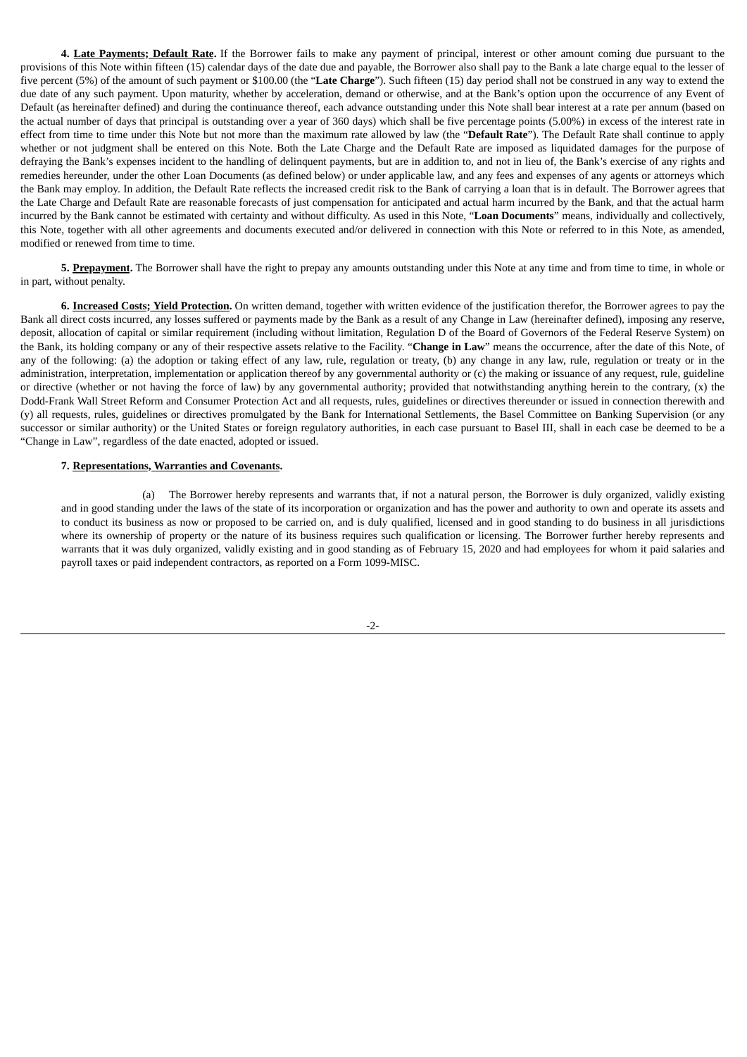**4. Late Payments; Default Rate.** If the Borrower fails to make any payment of principal, interest or other amount coming due pursuant to the provisions of this Note within fifteen (15) calendar days of the date due and payable, the Borrower also shall pay to the Bank a late charge equal to the lesser of five percent (5%) of the amount of such payment or \$100.00 (the "**Late Charge**"). Such fifteen (15) day period shall not be construed in any way to extend the due date of any such payment. Upon maturity, whether by acceleration, demand or otherwise, and at the Bank's option upon the occurrence of any Event of Default (as hereinafter defined) and during the continuance thereof, each advance outstanding under this Note shall bear interest at a rate per annum (based on the actual number of days that principal is outstanding over a year of 360 days) which shall be five percentage points (5.00%) in excess of the interest rate in effect from time to time under this Note but not more than the maximum rate allowed by law (the "**Default Rate**"). The Default Rate shall continue to apply whether or not judgment shall be entered on this Note. Both the Late Charge and the Default Rate are imposed as liquidated damages for the purpose of defraying the Bank's expenses incident to the handling of delinquent payments, but are in addition to, and not in lieu of, the Bank's exercise of any rights and remedies hereunder, under the other Loan Documents (as defined below) or under applicable law, and any fees and expenses of any agents or attorneys which the Bank may employ. In addition, the Default Rate reflects the increased credit risk to the Bank of carrying a loan that is in default. The Borrower agrees that the Late Charge and Default Rate are reasonable forecasts of just compensation for anticipated and actual harm incurred by the Bank, and that the actual harm incurred by the Bank cannot be estimated with certainty and without difficulty. As used in this Note, "**Loan Documents**" means, individually and collectively, this Note, together with all other agreements and documents executed and/or delivered in connection with this Note or referred to in this Note, as amended, modified or renewed from time to time.

**5. Prepayment.** The Borrower shall have the right to prepay any amounts outstanding under this Note at any time and from time to time, in whole or in part, without penalty.

**6. Increased Costs; Yield Protection.** On written demand, together with written evidence of the justification therefor, the Borrower agrees to pay the Bank all direct costs incurred, any losses suffered or payments made by the Bank as a result of any Change in Law (hereinafter defined), imposing any reserve, deposit, allocation of capital or similar requirement (including without limitation, Regulation D of the Board of Governors of the Federal Reserve System) on the Bank, its holding company or any of their respective assets relative to the Facility. "**Change in Law**" means the occurrence, after the date of this Note, of any of the following: (a) the adoption or taking effect of any law, rule, regulation or treaty, (b) any change in any law, rule, regulation or treaty or in the administration, interpretation, implementation or application thereof by any governmental authority or (c) the making or issuance of any request, rule, guideline or directive (whether or not having the force of law) by any governmental authority; provided that notwithstanding anything herein to the contrary,  $(x)$  the Dodd-Frank Wall Street Reform and Consumer Protection Act and all requests, rules, guidelines or directives thereunder or issued in connection therewith and (y) all requests, rules, guidelines or directives promulgated by the Bank for International Settlements, the Basel Committee on Banking Supervision (or any successor or similar authority) or the United States or foreign regulatory authorities, in each case pursuant to Basel III, shall in each case be deemed to be a "Change in Law", regardless of the date enacted, adopted or issued.

#### **7. Representations, Warranties and Covenants.**

(a) The Borrower hereby represents and warrants that, if not a natural person, the Borrower is duly organized, validly existing and in good standing under the laws of the state of its incorporation or organization and has the power and authority to own and operate its assets and to conduct its business as now or proposed to be carried on, and is duly qualified, licensed and in good standing to do business in all jurisdictions where its ownership of property or the nature of its business requires such qualification or licensing. The Borrower further hereby represents and warrants that it was duly organized, validly existing and in good standing as of February 15, 2020 and had employees for whom it paid salaries and payroll taxes or paid independent contractors, as reported on a Form 1099-MISC.

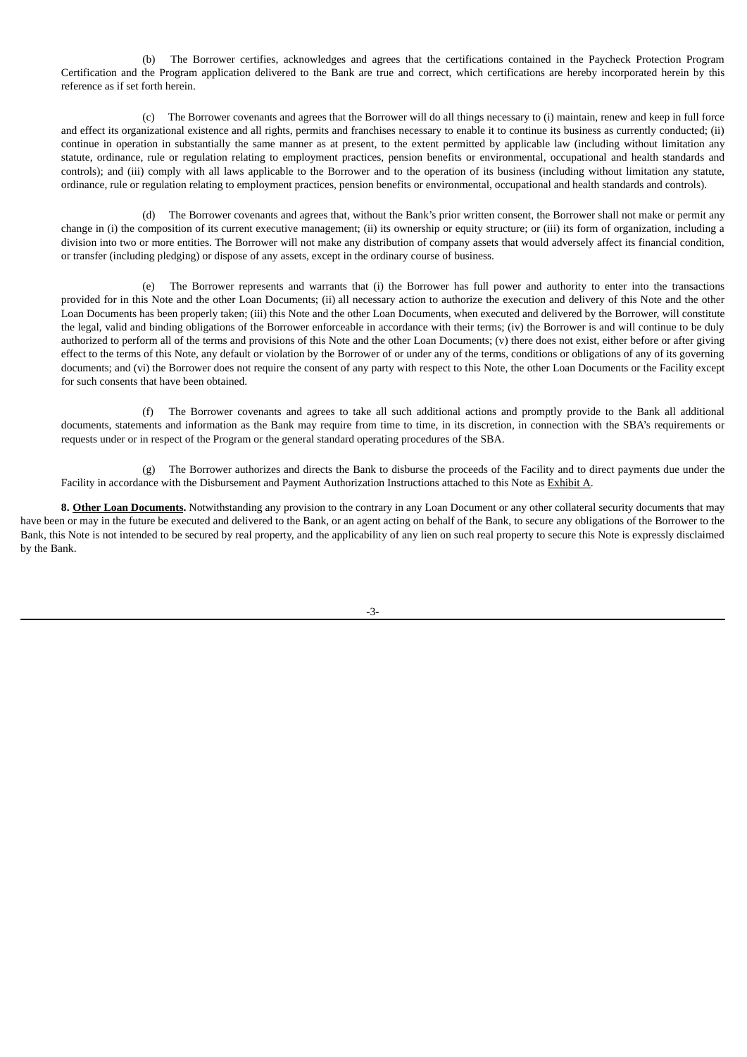(b) The Borrower certifies, acknowledges and agrees that the certifications contained in the Paycheck Protection Program Certification and the Program application delivered to the Bank are true and correct, which certifications are hereby incorporated herein by this reference as if set forth herein.

(c) The Borrower covenants and agrees that the Borrower will do all things necessary to (i) maintain, renew and keep in full force and effect its organizational existence and all rights, permits and franchises necessary to enable it to continue its business as currently conducted; (ii) continue in operation in substantially the same manner as at present, to the extent permitted by applicable law (including without limitation any statute, ordinance, rule or regulation relating to employment practices, pension benefits or environmental, occupational and health standards and controls); and (iii) comply with all laws applicable to the Borrower and to the operation of its business (including without limitation any statute, ordinance, rule or regulation relating to employment practices, pension benefits or environmental, occupational and health standards and controls).

(d) The Borrower covenants and agrees that, without the Bank's prior written consent, the Borrower shall not make or permit any change in (i) the composition of its current executive management; (ii) its ownership or equity structure; or (iii) its form of organization, including a division into two or more entities. The Borrower will not make any distribution of company assets that would adversely affect its financial condition, or transfer (including pledging) or dispose of any assets, except in the ordinary course of business.

(e) The Borrower represents and warrants that (i) the Borrower has full power and authority to enter into the transactions provided for in this Note and the other Loan Documents; (ii) all necessary action to authorize the execution and delivery of this Note and the other Loan Documents has been properly taken; (iii) this Note and the other Loan Documents, when executed and delivered by the Borrower, will constitute the legal, valid and binding obligations of the Borrower enforceable in accordance with their terms; (iv) the Borrower is and will continue to be duly authorized to perform all of the terms and provisions of this Note and the other Loan Documents; (v) there does not exist, either before or after giving effect to the terms of this Note, any default or violation by the Borrower of or under any of the terms, conditions or obligations of any of its governing documents; and (vi) the Borrower does not require the consent of any party with respect to this Note, the other Loan Documents or the Facility except for such consents that have been obtained.

(f) The Borrower covenants and agrees to take all such additional actions and promptly provide to the Bank all additional documents, statements and information as the Bank may require from time to time, in its discretion, in connection with the SBA's requirements or requests under or in respect of the Program or the general standard operating procedures of the SBA.

(g) The Borrower authorizes and directs the Bank to disburse the proceeds of the Facility and to direct payments due under the Facility in accordance with the Disbursement and Payment Authorization Instructions attached to this Note as Exhibit A.

**8. Other Loan Documents.** Notwithstanding any provision to the contrary in any Loan Document or any other collateral security documents that may have been or may in the future be executed and delivered to the Bank, or an agent acting on behalf of the Bank, to secure any obligations of the Borrower to the Bank, this Note is not intended to be secured by real property, and the applicability of any lien on such real property to secure this Note is expressly disclaimed by the Bank.

-3-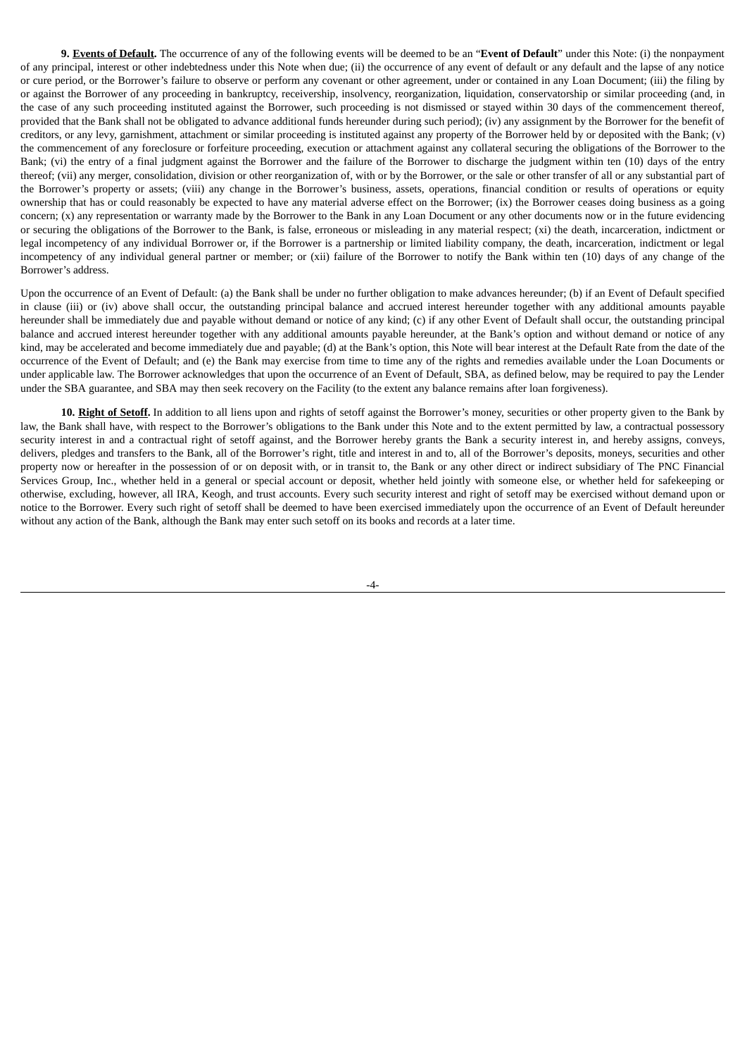**9. Events of Default.** The occurrence of any of the following events will be deemed to be an "**Event of Default**" under this Note: (i) the nonpayment of any principal, interest or other indebtedness under this Note when due; (ii) the occurrence of any event of default or any default and the lapse of any notice or cure period, or the Borrower's failure to observe or perform any covenant or other agreement, under or contained in any Loan Document; (iii) the filing by or against the Borrower of any proceeding in bankruptcy, receivership, insolvency, reorganization, liquidation, conservatorship or similar proceeding (and, in the case of any such proceeding instituted against the Borrower, such proceeding is not dismissed or stayed within 30 days of the commencement thereof, provided that the Bank shall not be obligated to advance additional funds hereunder during such period); (iv) any assignment by the Borrower for the benefit of creditors, or any levy, garnishment, attachment or similar proceeding is instituted against any property of the Borrower held by or deposited with the Bank; (v) the commencement of any foreclosure or forfeiture proceeding, execution or attachment against any collateral securing the obligations of the Borrower to the Bank; (vi) the entry of a final judgment against the Borrower and the failure of the Borrower to discharge the judgment within ten (10) days of the entry thereof; (vii) any merger, consolidation, division or other reorganization of, with or by the Borrower, or the sale or other transfer of all or any substantial part of the Borrower's property or assets; (viii) any change in the Borrower's business, assets, operations, financial condition or results of operations or equity ownership that has or could reasonably be expected to have any material adverse effect on the Borrower; (ix) the Borrower ceases doing business as a going concern; (x) any representation or warranty made by the Borrower to the Bank in any Loan Document or any other documents now or in the future evidencing or securing the obligations of the Borrower to the Bank, is false, erroneous or misleading in any material respect; (xi) the death, incarceration, indictment or legal incompetency of any individual Borrower or, if the Borrower is a partnership or limited liability company, the death, incarceration, indictment or legal incompetency of any individual general partner or member; or (xii) failure of the Borrower to notify the Bank within ten (10) days of any change of the Borrower's address.

Upon the occurrence of an Event of Default: (a) the Bank shall be under no further obligation to make advances hereunder; (b) if an Event of Default specified in clause (iii) or (iv) above shall occur, the outstanding principal balance and accrued interest hereunder together with any additional amounts payable hereunder shall be immediately due and payable without demand or notice of any kind; (c) if any other Event of Default shall occur, the outstanding principal balance and accrued interest hereunder together with any additional amounts payable hereunder, at the Bank's option and without demand or notice of any kind, may be accelerated and become immediately due and payable; (d) at the Bank's option, this Note will bear interest at the Default Rate from the date of the occurrence of the Event of Default; and (e) the Bank may exercise from time to time any of the rights and remedies available under the Loan Documents or under applicable law. The Borrower acknowledges that upon the occurrence of an Event of Default, SBA, as defined below, may be required to pay the Lender under the SBA guarantee, and SBA may then seek recovery on the Facility (to the extent any balance remains after loan forgiveness).

**10. Right of Setoff.** In addition to all liens upon and rights of setoff against the Borrower's money, securities or other property given to the Bank by law, the Bank shall have, with respect to the Borrower's obligations to the Bank under this Note and to the extent permitted by law, a contractual possessory security interest in and a contractual right of setoff against, and the Borrower hereby grants the Bank a security interest in, and hereby assigns, conveys, delivers, pledges and transfers to the Bank, all of the Borrower's right, title and interest in and to, all of the Borrower's deposits, moneys, securities and other property now or hereafter in the possession of or on deposit with, or in transit to, the Bank or any other direct or indirect subsidiary of The PNC Financial Services Group, Inc., whether held in a general or special account or deposit, whether held jointly with someone else, or whether held for safekeeping or otherwise, excluding, however, all IRA, Keogh, and trust accounts. Every such security interest and right of setoff may be exercised without demand upon or notice to the Borrower. Every such right of setoff shall be deemed to have been exercised immediately upon the occurrence of an Event of Default hereunder without any action of the Bank, although the Bank may enter such setoff on its books and records at a later time.

-4-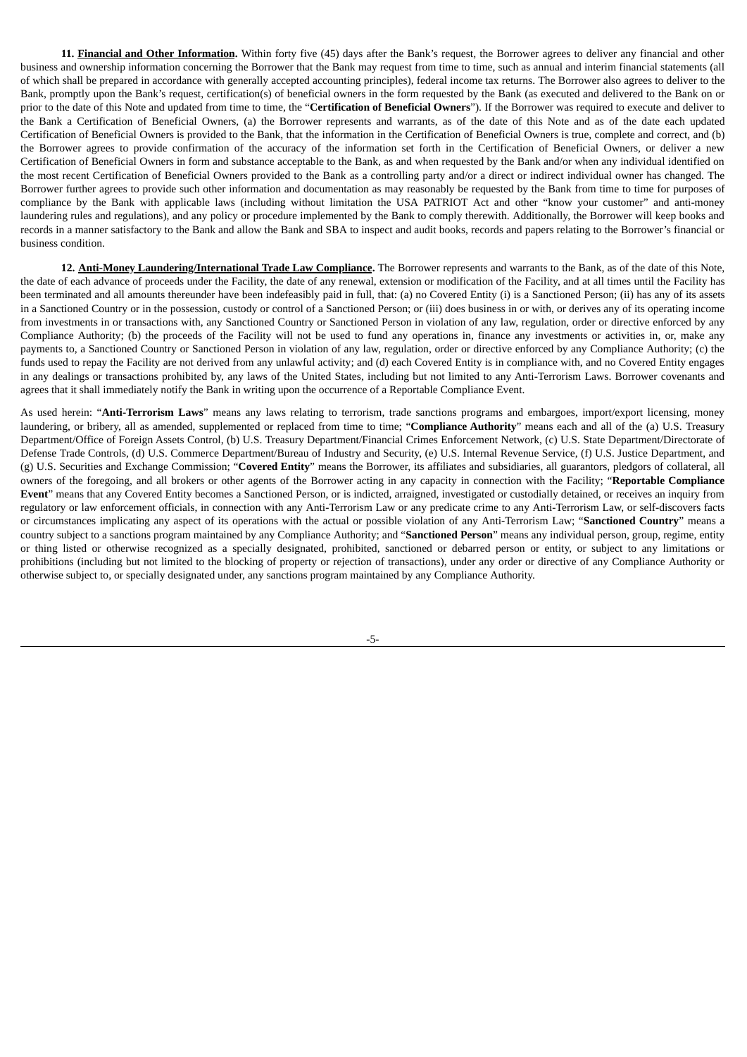**11. Financial and Other Information.** Within forty five (45) days after the Bank's request, the Borrower agrees to deliver any financial and other business and ownership information concerning the Borrower that the Bank may request from time to time, such as annual and interim financial statements (all of which shall be prepared in accordance with generally accepted accounting principles), federal income tax returns. The Borrower also agrees to deliver to the Bank, promptly upon the Bank's request, certification(s) of beneficial owners in the form requested by the Bank (as executed and delivered to the Bank on or prior to the date of this Note and updated from time to time, the "**Certification of Beneficial Owners**"). If the Borrower was required to execute and deliver to the Bank a Certification of Beneficial Owners, (a) the Borrower represents and warrants, as of the date of this Note and as of the date each updated Certification of Beneficial Owners is provided to the Bank, that the information in the Certification of Beneficial Owners is true, complete and correct, and (b) the Borrower agrees to provide confirmation of the accuracy of the information set forth in the Certification of Beneficial Owners, or deliver a new Certification of Beneficial Owners in form and substance acceptable to the Bank, as and when requested by the Bank and/or when any individual identified on the most recent Certification of Beneficial Owners provided to the Bank as a controlling party and/or a direct or indirect individual owner has changed. The Borrower further agrees to provide such other information and documentation as may reasonably be requested by the Bank from time to time for purposes of compliance by the Bank with applicable laws (including without limitation the USA PATRIOT Act and other "know your customer" and anti-money laundering rules and regulations), and any policy or procedure implemented by the Bank to comply therewith. Additionally, the Borrower will keep books and records in a manner satisfactory to the Bank and allow the Bank and SBA to inspect and audit books, records and papers relating to the Borrower's financial or business condition.

**12. Anti-Money Laundering/International Trade Law Compliance.** The Borrower represents and warrants to the Bank, as of the date of this Note, the date of each advance of proceeds under the Facility, the date of any renewal, extension or modification of the Facility, and at all times until the Facility has been terminated and all amounts thereunder have been indefeasibly paid in full, that: (a) no Covered Entity (i) is a Sanctioned Person; (ii) has any of its assets in a Sanctioned Country or in the possession, custody or control of a Sanctioned Person; or (iii) does business in or with, or derives any of its operating income from investments in or transactions with, any Sanctioned Country or Sanctioned Person in violation of any law, regulation, order or directive enforced by any Compliance Authority; (b) the proceeds of the Facility will not be used to fund any operations in, finance any investments or activities in, or, make any payments to, a Sanctioned Country or Sanctioned Person in violation of any law, regulation, order or directive enforced by any Compliance Authority; (c) the funds used to repay the Facility are not derived from any unlawful activity; and (d) each Covered Entity is in compliance with, and no Covered Entity engages in any dealings or transactions prohibited by, any laws of the United States, including but not limited to any Anti-Terrorism Laws. Borrower covenants and agrees that it shall immediately notify the Bank in writing upon the occurrence of a Reportable Compliance Event.

As used herein: "**Anti-Terrorism Laws**" means any laws relating to terrorism, trade sanctions programs and embargoes, import/export licensing, money laundering, or bribery, all as amended, supplemented or replaced from time to time; "**Compliance Authority**" means each and all of the (a) U.S. Treasury Department/Office of Foreign Assets Control, (b) U.S. Treasury Department/Financial Crimes Enforcement Network, (c) U.S. State Department/Directorate of Defense Trade Controls, (d) U.S. Commerce Department/Bureau of Industry and Security, (e) U.S. Internal Revenue Service, (f) U.S. Justice Department, and (g) U.S. Securities and Exchange Commission; "**Covered Entity**" means the Borrower, its affiliates and subsidiaries, all guarantors, pledgors of collateral, all owners of the foregoing, and all brokers or other agents of the Borrower acting in any capacity in connection with the Facility; "**Reportable Compliance Event**" means that any Covered Entity becomes a Sanctioned Person, or is indicted, arraigned, investigated or custodially detained, or receives an inquiry from regulatory or law enforcement officials, in connection with any Anti-Terrorism Law or any predicate crime to any Anti-Terrorism Law, or self-discovers facts or circumstances implicating any aspect of its operations with the actual or possible violation of any Anti-Terrorism Law; "**Sanctioned Country**" means a country subject to a sanctions program maintained by any Compliance Authority; and "**Sanctioned Person**" means any individual person, group, regime, entity or thing listed or otherwise recognized as a specially designated, prohibited, sanctioned or debarred person or entity, or subject to any limitations or prohibitions (including but not limited to the blocking of property or rejection of transactions), under any order or directive of any Compliance Authority or otherwise subject to, or specially designated under, any sanctions program maintained by any Compliance Authority.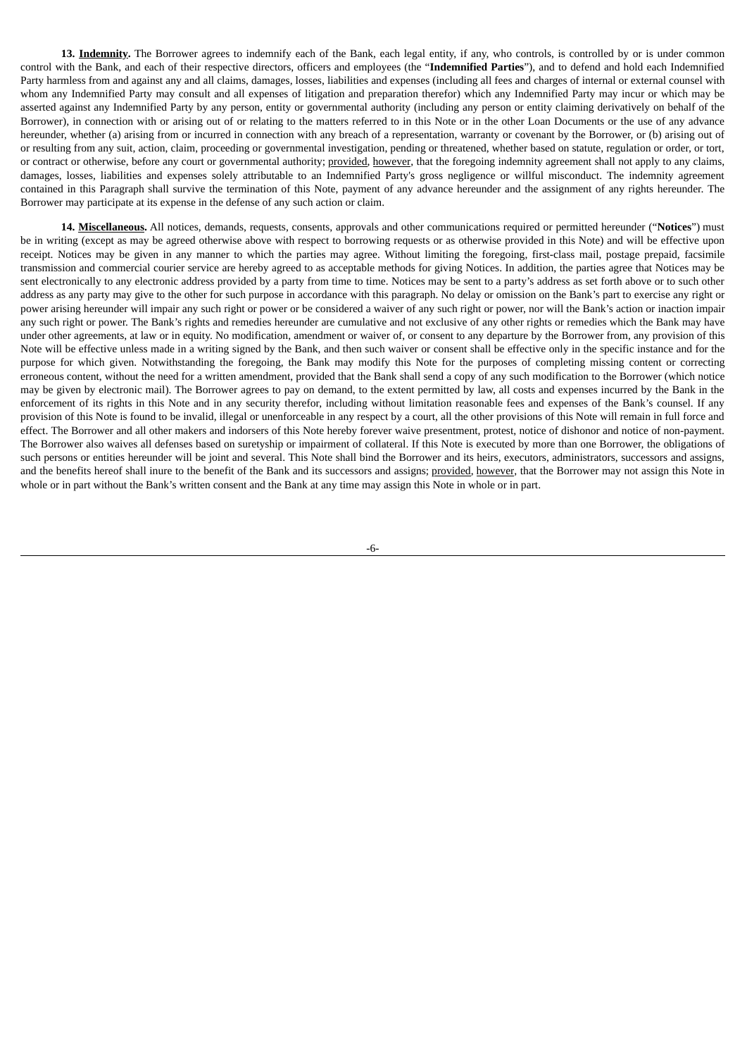**13. Indemnity.** The Borrower agrees to indemnify each of the Bank, each legal entity, if any, who controls, is controlled by or is under common control with the Bank, and each of their respective directors, officers and employees (the "**Indemnified Parties**"), and to defend and hold each Indemnified Party harmless from and against any and all claims, damages, losses, liabilities and expenses (including all fees and charges of internal or external counsel with whom any Indemnified Party may consult and all expenses of litigation and preparation therefor) which any Indemnified Party may incur or which may be asserted against any Indemnified Party by any person, entity or governmental authority (including any person or entity claiming derivatively on behalf of the Borrower), in connection with or arising out of or relating to the matters referred to in this Note or in the other Loan Documents or the use of any advance hereunder, whether (a) arising from or incurred in connection with any breach of a representation, warranty or covenant by the Borrower, or (b) arising out of or resulting from any suit, action, claim, proceeding or governmental investigation, pending or threatened, whether based on statute, regulation or order, or tort, or contract or otherwise, before any court or governmental authority; provided, however, that the foregoing indemnity agreement shall not apply to any claims, damages, losses, liabilities and expenses solely attributable to an Indemnified Party's gross negligence or willful misconduct. The indemnity agreement contained in this Paragraph shall survive the termination of this Note, payment of any advance hereunder and the assignment of any rights hereunder. The Borrower may participate at its expense in the defense of any such action or claim.

**14. Miscellaneous.** All notices, demands, requests, consents, approvals and other communications required or permitted hereunder ("**Notices**") must be in writing (except as may be agreed otherwise above with respect to borrowing requests or as otherwise provided in this Note) and will be effective upon receipt. Notices may be given in any manner to which the parties may agree. Without limiting the foregoing, first-class mail, postage prepaid, facsimile transmission and commercial courier service are hereby agreed to as acceptable methods for giving Notices. In addition, the parties agree that Notices may be sent electronically to any electronic address provided by a party from time to time. Notices may be sent to a party's address as set forth above or to such other address as any party may give to the other for such purpose in accordance with this paragraph. No delay or omission on the Bank's part to exercise any right or power arising hereunder will impair any such right or power or be considered a waiver of any such right or power, nor will the Bank's action or inaction impair any such right or power. The Bank's rights and remedies hereunder are cumulative and not exclusive of any other rights or remedies which the Bank may have under other agreements, at law or in equity. No modification, amendment or waiver of, or consent to any departure by the Borrower from, any provision of this Note will be effective unless made in a writing signed by the Bank, and then such waiver or consent shall be effective only in the specific instance and for the purpose for which given. Notwithstanding the foregoing, the Bank may modify this Note for the purposes of completing missing content or correcting erroneous content, without the need for a written amendment, provided that the Bank shall send a copy of any such modification to the Borrower (which notice may be given by electronic mail). The Borrower agrees to pay on demand, to the extent permitted by law, all costs and expenses incurred by the Bank in the enforcement of its rights in this Note and in any security therefor, including without limitation reasonable fees and expenses of the Bank's counsel. If any provision of this Note is found to be invalid, illegal or unenforceable in any respect by a court, all the other provisions of this Note will remain in full force and effect. The Borrower and all other makers and indorsers of this Note hereby forever waive presentment, protest, notice of dishonor and notice of non-payment. The Borrower also waives all defenses based on suretyship or impairment of collateral. If this Note is executed by more than one Borrower, the obligations of such persons or entities hereunder will be joint and several. This Note shall bind the Borrower and its heirs, executors, administrators, successors and assigns, and the benefits hereof shall inure to the benefit of the Bank and its successors and assigns; provided, however, that the Borrower may not assign this Note in whole or in part without the Bank's written consent and the Bank at any time may assign this Note in whole or in part.

-6-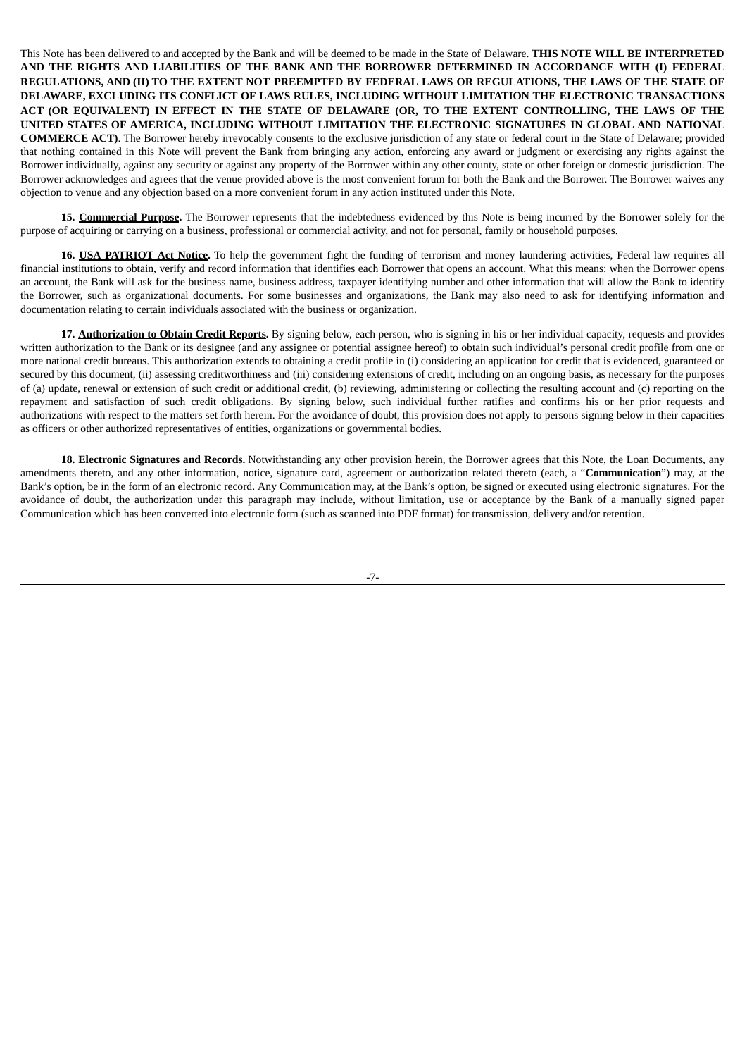This Note has been delivered to and accepted by the Bank and will be deemed to be made in the State of Delaware. **THIS NOTE WILL BE INTERPRETED AND THE RIGHTS AND LIABILITIES OF THE BANK AND THE BORROWER DETERMINED IN ACCORDANCE WITH (I) FEDERAL REGULATIONS, AND (II) TO THE EXTENT NOT PREEMPTED BY FEDERAL LAWS OR REGULATIONS, THE LAWS OF THE STATE OF DELAWARE, EXCLUDING ITS CONFLICT OF LAWS RULES, INCLUDING WITHOUT LIMITATION THE ELECTRONIC TRANSACTIONS ACT (OR EQUIVALENT) IN EFFECT IN THE STATE OF DELAWARE (OR, TO THE EXTENT CONTROLLING, THE LAWS OF THE UNITED STATES OF AMERICA, INCLUDING WITHOUT LIMITATION THE ELECTRONIC SIGNATURES IN GLOBAL AND NATIONAL COMMERCE ACT)**. The Borrower hereby irrevocably consents to the exclusive jurisdiction of any state or federal court in the State of Delaware; provided that nothing contained in this Note will prevent the Bank from bringing any action, enforcing any award or judgment or exercising any rights against the Borrower individually, against any security or against any property of the Borrower within any other county, state or other foreign or domestic jurisdiction. The Borrower acknowledges and agrees that the venue provided above is the most convenient forum for both the Bank and the Borrower. The Borrower waives any objection to venue and any objection based on a more convenient forum in any action instituted under this Note.

**15. Commercial Purpose.** The Borrower represents that the indebtedness evidenced by this Note is being incurred by the Borrower solely for the purpose of acquiring or carrying on a business, professional or commercial activity, and not for personal, family or household purposes.

**16. USA PATRIOT Act Notice.** To help the government fight the funding of terrorism and money laundering activities, Federal law requires all financial institutions to obtain, verify and record information that identifies each Borrower that opens an account. What this means: when the Borrower opens an account, the Bank will ask for the business name, business address, taxpayer identifying number and other information that will allow the Bank to identify the Borrower, such as organizational documents. For some businesses and organizations, the Bank may also need to ask for identifying information and documentation relating to certain individuals associated with the business or organization.

**17. Authorization to Obtain Credit Reports.** By signing below, each person, who is signing in his or her individual capacity, requests and provides written authorization to the Bank or its designee (and any assignee or potential assignee hereof) to obtain such individual's personal credit profile from one or more national credit bureaus. This authorization extends to obtaining a credit profile in (i) considering an application for credit that is evidenced, guaranteed or secured by this document, (ii) assessing creditworthiness and (iii) considering extensions of credit, including on an ongoing basis, as necessary for the purposes of (a) update, renewal or extension of such credit or additional credit, (b) reviewing, administering or collecting the resulting account and (c) reporting on the repayment and satisfaction of such credit obligations. By signing below, such individual further ratifies and confirms his or her prior requests and authorizations with respect to the matters set forth herein. For the avoidance of doubt, this provision does not apply to persons signing below in their capacities as officers or other authorized representatives of entities, organizations or governmental bodies.

**18. Electronic Signatures and Records.** Notwithstanding any other provision herein, the Borrower agrees that this Note, the Loan Documents, any amendments thereto, and any other information, notice, signature card, agreement or authorization related thereto (each, a "**Communication**") may, at the Bank's option, be in the form of an electronic record. Any Communication may, at the Bank's option, be signed or executed using electronic signatures. For the avoidance of doubt, the authorization under this paragraph may include, without limitation, use or acceptance by the Bank of a manually signed paper Communication which has been converted into electronic form (such as scanned into PDF format) for transmission, delivery and/or retention.

-7-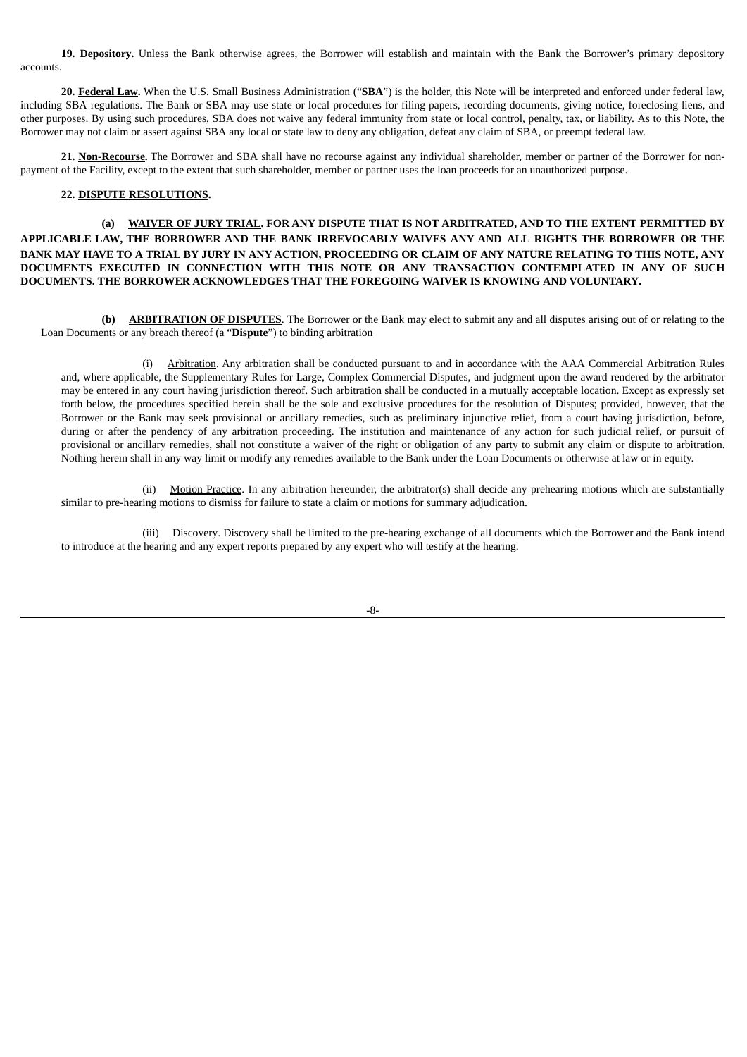**19. Depository.** Unless the Bank otherwise agrees, the Borrower will establish and maintain with the Bank the Borrower's primary depository accounts.

**20. Federal Law.** When the U.S. Small Business Administration ("**SBA**") is the holder, this Note will be interpreted and enforced under federal law, including SBA regulations. The Bank or SBA may use state or local procedures for filing papers, recording documents, giving notice, foreclosing liens, and other purposes. By using such procedures, SBA does not waive any federal immunity from state or local control, penalty, tax, or liability. As to this Note, the Borrower may not claim or assert against SBA any local or state law to deny any obligation, defeat any claim of SBA, or preempt federal law.

**21. Non-Recourse.** The Borrower and SBA shall have no recourse against any individual shareholder, member or partner of the Borrower for nonpayment of the Facility, except to the extent that such shareholder, member or partner uses the loan proceeds for an unauthorized purpose.

#### **22. DISPUTE RESOLUTIONS.**

**(a) WAIVER OF JURY TRIAL. FOR ANY DISPUTE THAT IS NOT ARBITRATED, AND TO THE EXTENT PERMITTED BY APPLICABLE LAW, THE BORROWER AND THE BANK IRREVOCABLY WAIVES ANY AND ALL RIGHTS THE BORROWER OR THE BANK MAY HAVE TO A TRIAL BY JURY IN ANY ACTION, PROCEEDING OR CLAIM OF ANY NATURE RELATING TO THIS NOTE, ANY DOCUMENTS EXECUTED IN CONNECTION WITH THIS NOTE OR ANY TRANSACTION CONTEMPLATED IN ANY OF SUCH DOCUMENTS. THE BORROWER ACKNOWLEDGES THAT THE FOREGOING WAIVER IS KNOWING AND VOLUNTARY.**

**(b) ARBITRATION OF DISPUTES**. The Borrower or the Bank may elect to submit any and all disputes arising out of or relating to the Loan Documents or any breach thereof (a "**Dispute**") to binding arbitration

(i) Arbitration. Any arbitration shall be conducted pursuant to and in accordance with the AAA Commercial Arbitration Rules and, where applicable, the Supplementary Rules for Large, Complex Commercial Disputes, and judgment upon the award rendered by the arbitrator may be entered in any court having jurisdiction thereof. Such arbitration shall be conducted in a mutually acceptable location. Except as expressly set forth below, the procedures specified herein shall be the sole and exclusive procedures for the resolution of Disputes; provided, however, that the Borrower or the Bank may seek provisional or ancillary remedies, such as preliminary injunctive relief, from a court having jurisdiction, before, during or after the pendency of any arbitration proceeding. The institution and maintenance of any action for such judicial relief, or pursuit of provisional or ancillary remedies, shall not constitute a waiver of the right or obligation of any party to submit any claim or dispute to arbitration. Nothing herein shall in any way limit or modify any remedies available to the Bank under the Loan Documents or otherwise at law or in equity.

(ii) Motion Practice. In any arbitration hereunder, the arbitrator(s) shall decide any prehearing motions which are substantially similar to pre-hearing motions to dismiss for failure to state a claim or motions for summary adjudication.

(iii) Discovery. Discovery shall be limited to the pre-hearing exchange of all documents which the Borrower and the Bank intend to introduce at the hearing and any expert reports prepared by any expert who will testify at the hearing.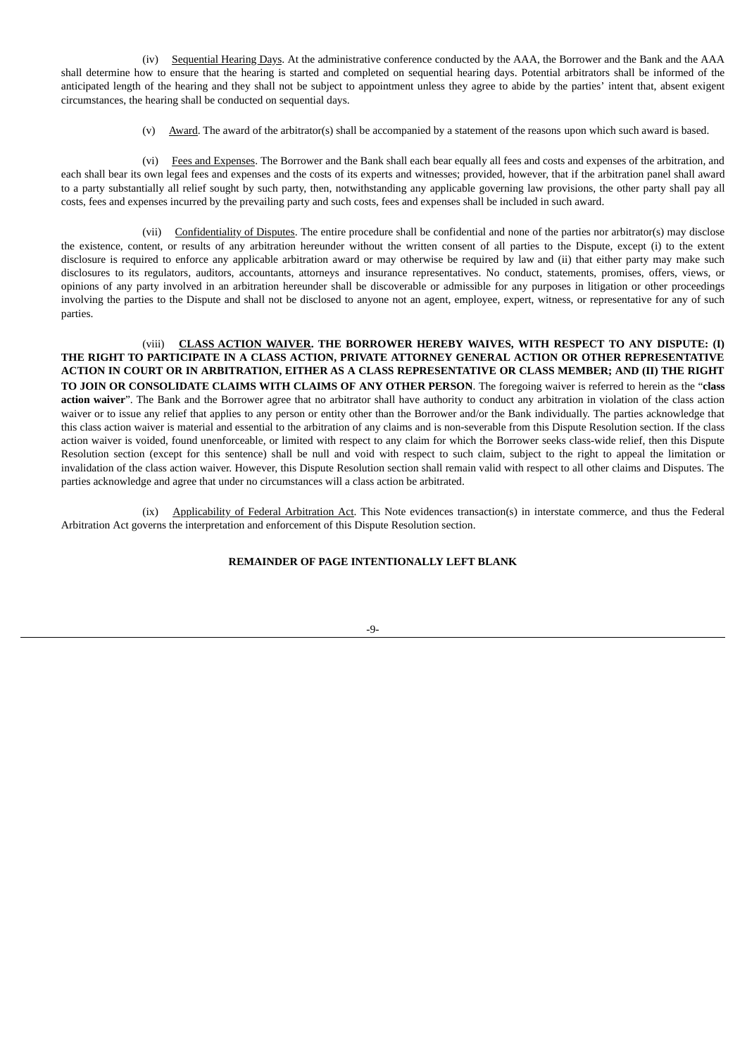(iv) Sequential Hearing Days. At the administrative conference conducted by the AAA, the Borrower and the Bank and the AAA shall determine how to ensure that the hearing is started and completed on sequential hearing days. Potential arbitrators shall be informed of the anticipated length of the hearing and they shall not be subject to appointment unless they agree to abide by the parties' intent that, absent exigent circumstances, the hearing shall be conducted on sequential days.

(v) Award. The award of the arbitrator(s) shall be accompanied by a statement of the reasons upon which such award is based.

(vi) Fees and Expenses. The Borrower and the Bank shall each bear equally all fees and costs and expenses of the arbitration, and each shall bear its own legal fees and expenses and the costs of its experts and witnesses; provided, however, that if the arbitration panel shall award to a party substantially all relief sought by such party, then, notwithstanding any applicable governing law provisions, the other party shall pay all costs, fees and expenses incurred by the prevailing party and such costs, fees and expenses shall be included in such award.

(vii) Confidentiality of Disputes. The entire procedure shall be confidential and none of the parties nor arbitrator(s) may disclose the existence, content, or results of any arbitration hereunder without the written consent of all parties to the Dispute, except (i) to the extent disclosure is required to enforce any applicable arbitration award or may otherwise be required by law and (ii) that either party may make such disclosures to its regulators, auditors, accountants, attorneys and insurance representatives. No conduct, statements, promises, offers, views, or opinions of any party involved in an arbitration hereunder shall be discoverable or admissible for any purposes in litigation or other proceedings involving the parties to the Dispute and shall not be disclosed to anyone not an agent, employee, expert, witness, or representative for any of such parties.

(viii) **CLASS ACTION WAIVER. THE BORROWER HEREBY WAIVES, WITH RESPECT TO ANY DISPUTE: (I) THE RIGHT TO PARTICIPATE IN A CLASS ACTION, PRIVATE ATTORNEY GENERAL ACTION OR OTHER REPRESENTATIVE ACTION IN COURT OR IN ARBITRATION, EITHER AS A CLASS REPRESENTATIVE OR CLASS MEMBER; AND (II) THE RIGHT TO JOIN OR CONSOLIDATE CLAIMS WITH CLAIMS OF ANY OTHER PERSON**. The foregoing waiver is referred to herein as the "**class action waiver**". The Bank and the Borrower agree that no arbitrator shall have authority to conduct any arbitration in violation of the class action waiver or to issue any relief that applies to any person or entity other than the Borrower and/or the Bank individually. The parties acknowledge that this class action waiver is material and essential to the arbitration of any claims and is non-severable from this Dispute Resolution section. If the class action waiver is voided, found unenforceable, or limited with respect to any claim for which the Borrower seeks class-wide relief, then this Dispute Resolution section (except for this sentence) shall be null and void with respect to such claim, subject to the right to appeal the limitation or invalidation of the class action waiver. However, this Dispute Resolution section shall remain valid with respect to all other claims and Disputes. The parties acknowledge and agree that under no circumstances will a class action be arbitrated.

(ix) Applicability of Federal Arbitration Act. This Note evidences transaction(s) in interstate commerce, and thus the Federal Arbitration Act governs the interpretation and enforcement of this Dispute Resolution section.

# **REMAINDER OF PAGE INTENTIONALLY LEFT BLANK**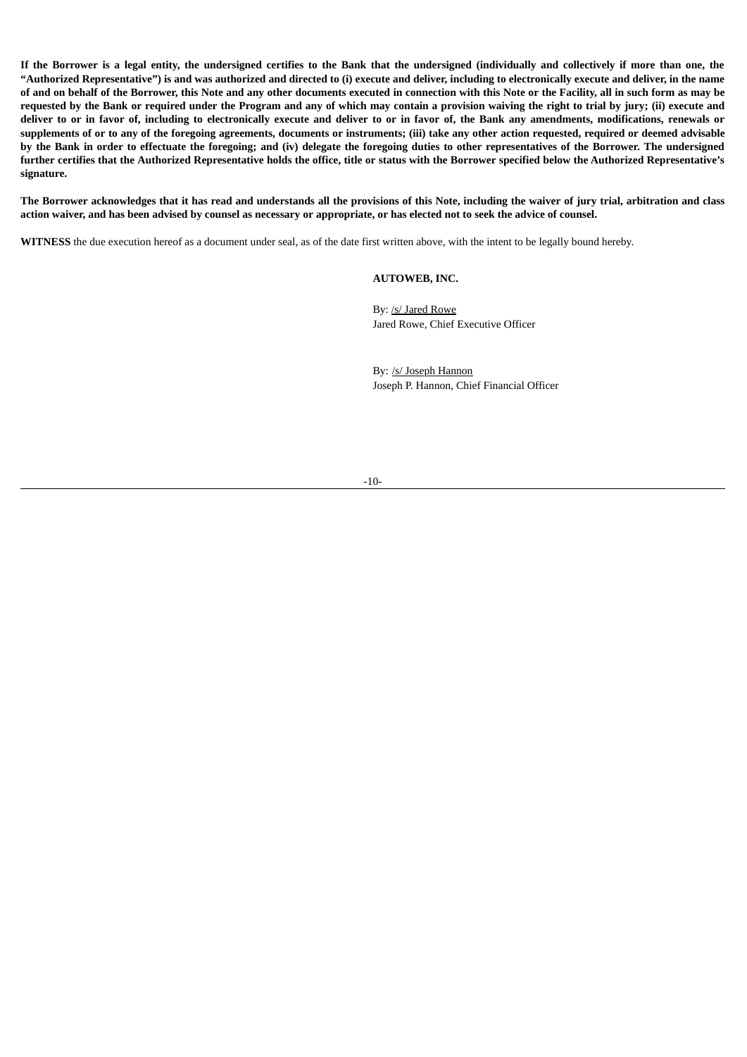**If the Borrower is a legal entity, the undersigned certifies to the Bank that the undersigned (individually and collectively if more than one, the "Authorized Representative") is and was authorized and directed to (i) execute and deliver, including to electronically execute and deliver, in the name of and on behalf of the Borrower, this Note and any other documents executed in connection with this Note or the Facility, all in such form as may be requested by the Bank or required under the Program and any of which may contain a provision waiving the right to trial by jury; (ii) execute and deliver to or in favor of, including to electronically execute and deliver to or in favor of, the Bank any amendments, modifications, renewals or supplements of or to any of the foregoing agreements, documents or instruments; (iii) take any other action requested, required or deemed advisable by the Bank in order to effectuate the foregoing; and (iv) delegate the foregoing duties to other representatives of the Borrower. The undersigned further certifies that the Authorized Representative holds the office, title or status with the Borrower specified below the Authorized Representative's signature.**

**The Borrower acknowledges that it has read and understands all the provisions of this Note, including the waiver of jury trial, arbitration and class action waiver, and has been advised by counsel as necessary or appropriate, or has elected not to seek the advice of counsel.**

**WITNESS** the due execution hereof as a document under seal, as of the date first written above, with the intent to be legally bound hereby.

### **AUTOWEB, INC.**

By: /s/ Jared Rowe Jared Rowe, Chief Executive Officer

By: /s/ Joseph Hannon Joseph P. Hannon, Chief Financial Officer

#### -10-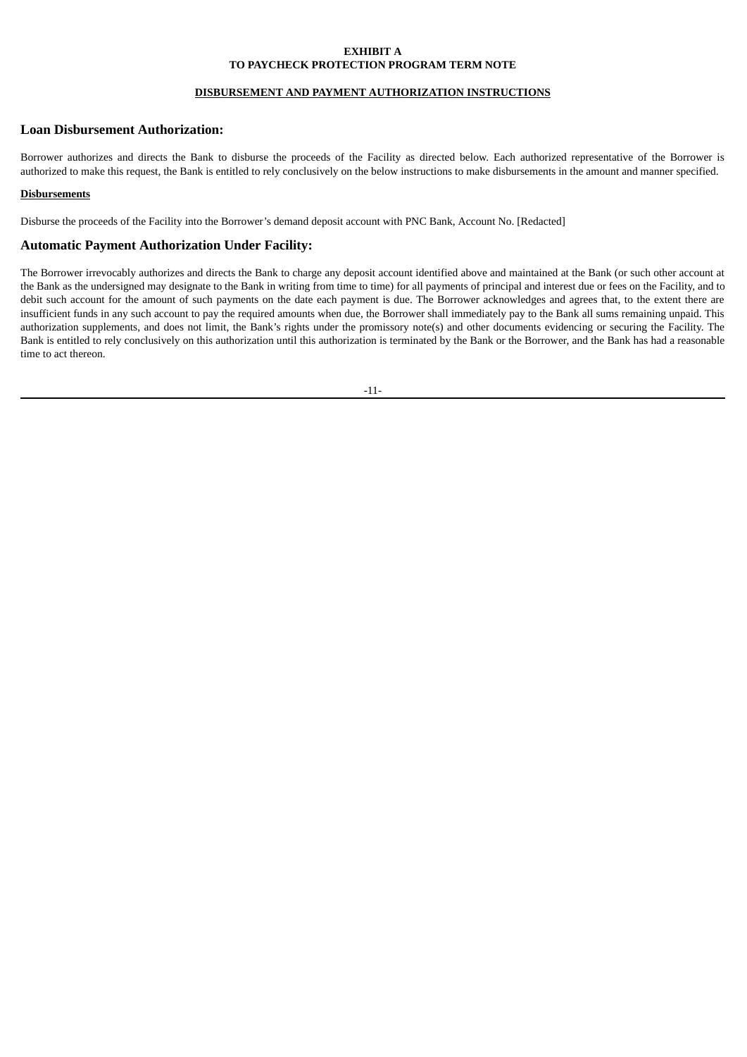### **EXHIBIT A TO PAYCHECK PROTECTION PROGRAM TERM NOTE**

## **DISBURSEMENT AND PAYMENT AUTHORIZATION INSTRUCTIONS**

# **Loan Disbursement Authorization:**

Borrower authorizes and directs the Bank to disburse the proceeds of the Facility as directed below. Each authorized representative of the Borrower is authorized to make this request, the Bank is entitled to rely conclusively on the below instructions to make disbursements in the amount and manner specified.

### **Disbursements**

Disburse the proceeds of the Facility into the Borrower's demand deposit account with PNC Bank, Account No. [Redacted]

## **Automatic Payment Authorization Under Facility:**

The Borrower irrevocably authorizes and directs the Bank to charge any deposit account identified above and maintained at the Bank (or such other account at the Bank as the undersigned may designate to the Bank in writing from time to time) for all payments of principal and interest due or fees on the Facility, and to debit such account for the amount of such payments on the date each payment is due. The Borrower acknowledges and agrees that, to the extent there are insufficient funds in any such account to pay the required amounts when due, the Borrower shall immediately pay to the Bank all sums remaining unpaid. This authorization supplements, and does not limit, the Bank's rights under the promissory note(s) and other documents evidencing or securing the Facility. The Bank is entitled to rely conclusively on this authorization until this authorization is terminated by the Bank or the Borrower, and the Bank has had a reasonable time to act thereon.

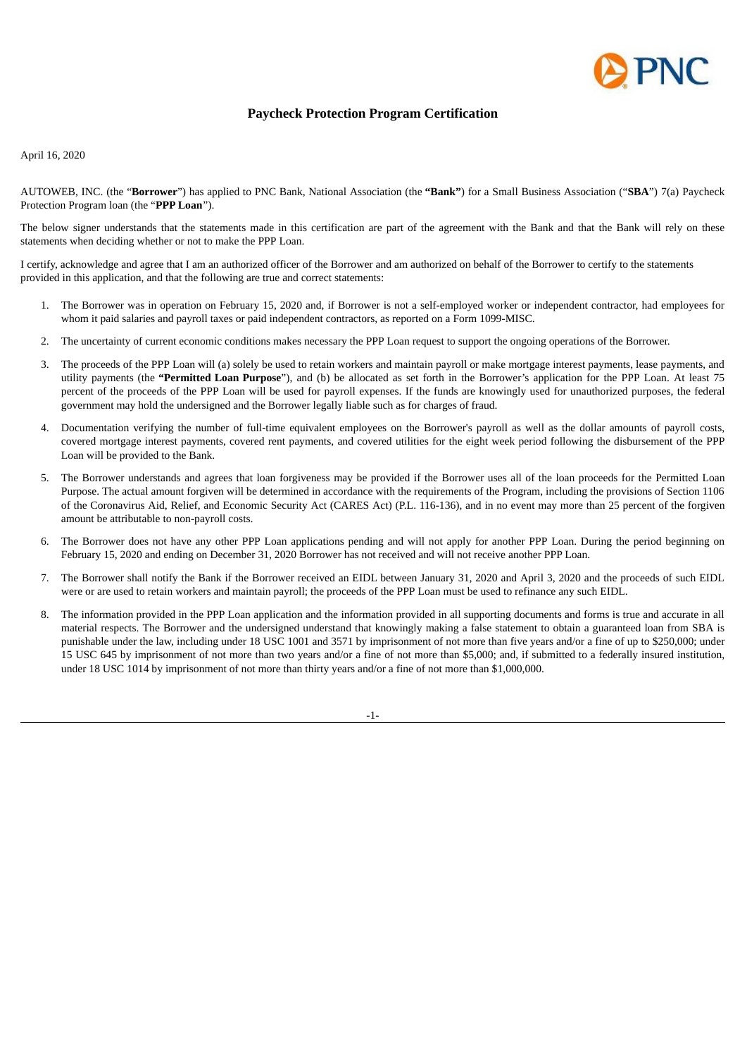

# **Paycheck Protection Program Certification**

April 16, 2020

AUTOWEB, INC. (the "**Borrower**") has applied to PNC Bank, National Association (the **"Bank"**) for a Small Business Association ("**SBA**") 7(a) Paycheck Protection Program loan (the "**PPP Loan**").

The below signer understands that the statements made in this certification are part of the agreement with the Bank and that the Bank will rely on these statements when deciding whether or not to make the PPP Loan.

I certify, acknowledge and agree that I am an authorized officer of the Borrower and am authorized on behalf of the Borrower to certify to the statements provided in this application, and that the following are true and correct statements:

- 1. The Borrower was in operation on February 15, 2020 and, if Borrower is not a self-employed worker or independent contractor, had employees for whom it paid salaries and payroll taxes or paid independent contractors, as reported on a Form 1099-MISC.
- 2. The uncertainty of current economic conditions makes necessary the PPP Loan request to support the ongoing operations of the Borrower.
- 3. The proceeds of the PPP Loan will (a) solely be used to retain workers and maintain payroll or make mortgage interest payments, lease payments, and utility payments (the **"Permitted Loan Purpose**"), and (b) be allocated as set forth in the Borrower's application for the PPP Loan. At least 75 percent of the proceeds of the PPP Loan will be used for payroll expenses. If the funds are knowingly used for unauthorized purposes, the federal government may hold the undersigned and the Borrower legally liable such as for charges of fraud.
- 4. Documentation verifying the number of full-time equivalent employees on the Borrower's payroll as well as the dollar amounts of payroll costs, covered mortgage interest payments, covered rent payments, and covered utilities for the eight week period following the disbursement of the PPP Loan will be provided to the Bank.
- 5. The Borrower understands and agrees that loan forgiveness may be provided if the Borrower uses all of the loan proceeds for the Permitted Loan Purpose. The actual amount forgiven will be determined in accordance with the requirements of the Program, including the provisions of Section 1106 of the Coronavirus Aid, Relief, and Economic Security Act (CARES Act) (P.L. 116-136), and in no event may more than 25 percent of the forgiven amount be attributable to non-payroll costs.
- 6. The Borrower does not have any other PPP Loan applications pending and will not apply for another PPP Loan. During the period beginning on February 15, 2020 and ending on December 31, 2020 Borrower has not received and will not receive another PPP Loan.
- 7. The Borrower shall notify the Bank if the Borrower received an EIDL between January 31, 2020 and April 3, 2020 and the proceeds of such EIDL were or are used to retain workers and maintain payroll; the proceeds of the PPP Loan must be used to refinance any such EIDL.
- 8. The information provided in the PPP Loan application and the information provided in all supporting documents and forms is true and accurate in all material respects. The Borrower and the undersigned understand that knowingly making a false statement to obtain a guaranteed loan from SBA is punishable under the law, including under 18 USC 1001 and 3571 by imprisonment of not more than five years and/or a fine of up to \$250,000; under 15 USC 645 by imprisonment of not more than two years and/or a fine of not more than \$5,000; and, if submitted to a federally insured institution, under 18 USC 1014 by imprisonment of not more than thirty years and/or a fine of not more than \$1,000,000.

-1-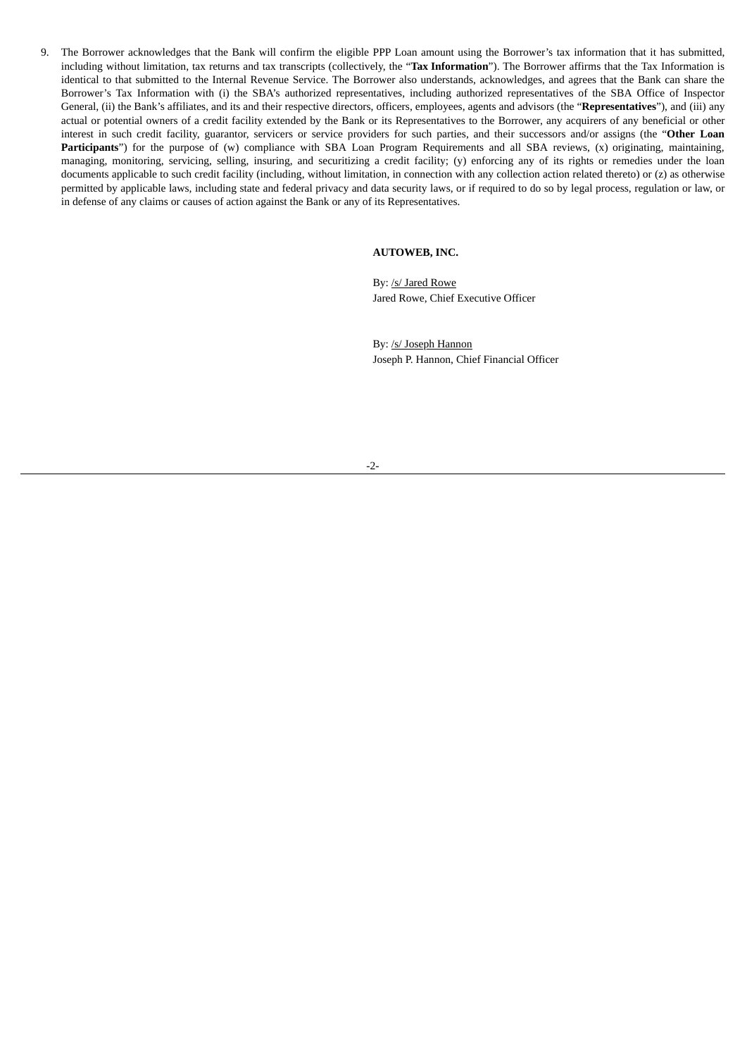9. The Borrower acknowledges that the Bank will confirm the eligible PPP Loan amount using the Borrower's tax information that it has submitted, including without limitation, tax returns and tax transcripts (collectively, the "**Tax Information**"). The Borrower affirms that the Tax Information is identical to that submitted to the Internal Revenue Service. The Borrower also understands, acknowledges, and agrees that the Bank can share the Borrower's Tax Information with (i) the SBA's authorized representatives, including authorized representatives of the SBA Office of Inspector General, (ii) the Bank's affiliates, and its and their respective directors, officers, employees, agents and advisors (the "**Representatives**"), and (iii) any actual or potential owners of a credit facility extended by the Bank or its Representatives to the Borrower, any acquirers of any beneficial or other interest in such credit facility, guarantor, servicers or service providers for such parties, and their successors and/or assigns (the "**Other Loan Participants**") for the purpose of (w) compliance with SBA Loan Program Requirements and all SBA reviews, (x) originating, maintaining, managing, monitoring, servicing, selling, insuring, and securitizing a credit facility; (y) enforcing any of its rights or remedies under the loan documents applicable to such credit facility (including, without limitation, in connection with any collection action related thereto) or (z) as otherwise permitted by applicable laws, including state and federal privacy and data security laws, or if required to do so by legal process, regulation or law, or in defense of any claims or causes of action against the Bank or any of its Representatives.

### **AUTOWEB, INC.**

By: /s/ Jared Rowe Jared Rowe, Chief Executive Officer

By: /s/ Joseph Hannon Joseph P. Hannon, Chief Financial Officer